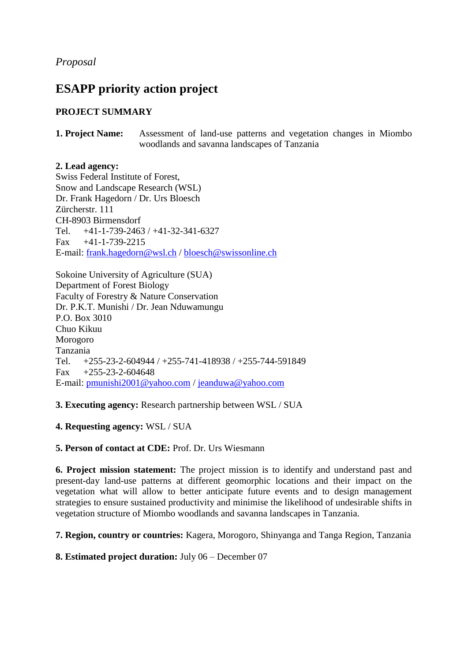*Proposal*

# **ESAPP priority action project**

# **PROJECT SUMMARY**

**1. Project Name:** Assessment of land-use patterns and vegetation changes in Miombo woodlands and savanna landscapes of Tanzania

**2. Lead agency:**  Swiss Federal Institute of Forest, Snow and Landscape Research (WSL) Dr. Frank Hagedorn / Dr. Urs Bloesch Zürcherstr. 111 CH-8903 Birmensdorf Tel. +41-1-739-2463 / +41-32-341-6327 Fax +41-1-739-2215 E-mail: [frank.hagedorn@wsl.ch](mailto:frank.hagedorn@wsl.ch) / [bloesch@swissonline.ch](mailto:bloesch@swissonline.ch)

Sokoine University of Agriculture (SUA) Department of Forest Biology Faculty of Forestry & Nature Conservation Dr. P.K.T. Munishi / Dr. Jean Nduwamungu P.O. Box 3010 Chuo Kikuu Morogoro Tanzania Tel. +255-23-2-604944 / +255-741-418938 / +255-744-591849 Fax  $+255-23-2-604648$ E-mail: [pmunishi2001@yahoo.com](mailto:pmunishi2001@yahoo.com) / [jeanduwa@yahoo.com](mailto:jeanduwa@yahoo.com)

**3. Executing agency:** Research partnership between WSL / SUA

**4. Requesting agency:** WSL / SUA

**5. Person of contact at CDE:** Prof. Dr. Urs Wiesmann

**6. Project mission statement:** The project mission is to identify and understand past and present-day land-use patterns at different geomorphic locations and their impact on the vegetation what will allow to better anticipate future events and to design management strategies to ensure sustained productivity and minimise the likelihood of undesirable shifts in vegetation structure of Miombo woodlands and savanna landscapes in Tanzania.

**7. Region, country or countries:** Kagera, Morogoro, Shinyanga and Tanga Region, Tanzania

**8. Estimated project duration:** July 06 – December 07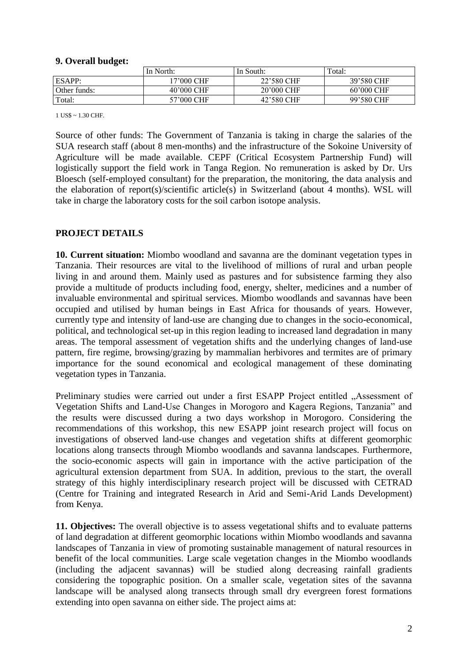#### **9. Overall budget:**

|              | In North:    | In South:  | Total:       |
|--------------|--------------|------------|--------------|
| ESAPP:       | '7'000 CHF   | 22'580 CHF | 39'580 CHF   |
| Other funds: | $40'000$ CHF | 20'000 CHF | $60'000$ CHF |
| Total:       | 57'000 CHF   | 42'580 CHF | 99'580 CHF   |

1 US\$ ~ 1.30 CHF.

Source of other funds: The Government of Tanzania is taking in charge the salaries of the SUA research staff (about 8 men-months) and the infrastructure of the Sokoine University of Agriculture will be made available. CEPF (Critical Ecosystem Partnership Fund) will logistically support the field work in Tanga Region. No remuneration is asked by Dr. Urs Bloesch (self-employed consultant) for the preparation, the monitoring, the data analysis and the elaboration of report(s)/scientific article(s) in Switzerland (about 4 months). WSL will take in charge the laboratory costs for the soil carbon isotope analysis.

#### **PROJECT DETAILS**

**10. Current situation:** Miombo woodland and savanna are the dominant vegetation types in Tanzania. Their resources are vital to the livelihood of millions of rural and urban people living in and around them. Mainly used as pastures and for subsistence farming they also provide a multitude of products including food, energy, shelter, medicines and a number of invaluable environmental and spiritual services. Miombo woodlands and savannas have been occupied and utilised by human beings in East Africa for thousands of years. However, currently type and intensity of land-use are changing due to changes in the socio-economical, political, and technological set-up in this region leading to increased land degradation in many areas. The temporal assessment of vegetation shifts and the underlying changes of land-use pattern, fire regime, browsing/grazing by mammalian herbivores and termites are of primary importance for the sound economical and ecological management of these dominating vegetation types in Tanzania.

Preliminary studies were carried out under a first ESAPP Project entitled "Assessment of Vegetation Shifts and Land-Use Changes in Morogoro and Kagera Regions, Tanzania" and the results were discussed during a two days workshop in Morogoro. Considering the recommendations of this workshop, this new ESAPP joint research project will focus on investigations of observed land-use changes and vegetation shifts at different geomorphic locations along transects through Miombo woodlands and savanna landscapes. Furthermore, the socio-economic aspects will gain in importance with the active participation of the agricultural extension department from SUA. In addition, previous to the start, the overall strategy of this highly interdisciplinary research project will be discussed with CETRAD (Centre for Training and integrated Research in Arid and Semi-Arid Lands Development) from Kenya.

**11. Objectives:** The overall objective is to assess vegetational shifts and to evaluate patterns of land degradation at different geomorphic locations within Miombo woodlands and savanna landscapes of Tanzania in view of promoting sustainable management of natural resources in benefit of the local communities. Large scale vegetation changes in the Miombo woodlands (including the adjacent savannas) will be studied along decreasing rainfall gradients considering the topographic position. On a smaller scale, vegetation sites of the savanna landscape will be analysed along transects through small dry evergreen forest formations extending into open savanna on either side. The project aims at: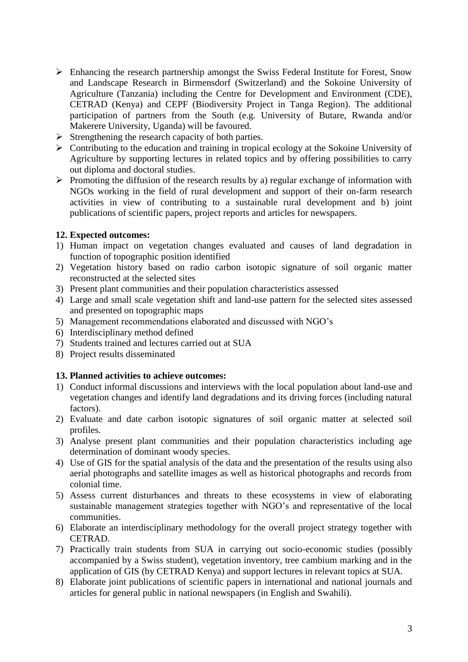- Enhancing the research partnership amongst the Swiss Federal Institute for Forest, Snow and Landscape Research in Birmensdorf (Switzerland) and the Sokoine University of Agriculture (Tanzania) including the Centre for Development and Environment (CDE), CETRAD (Kenya) and CEPF (Biodiversity Project in Tanga Region). The additional participation of partners from the South (e.g. University of Butare, Rwanda and/or Makerere University, Uganda) will be favoured.
- $\triangleright$  Strengthening the research capacity of both parties.
- $\triangleright$  Contributing to the education and training in tropical ecology at the Sokoine University of Agriculture by supporting lectures in related topics and by offering possibilities to carry out diploma and doctoral studies.
- $\triangleright$  Promoting the diffusion of the research results by a) regular exchange of information with NGOs working in the field of rural development and support of their on-farm research activities in view of contributing to a sustainable rural development and b) joint publications of scientific papers, project reports and articles for newspapers.

## **12. Expected outcomes:**

- 1) Human impact on vegetation changes evaluated and causes of land degradation in function of topographic position identified
- 2) Vegetation history based on radio carbon isotopic signature of soil organic matter reconstructed at the selected sites
- 3) Present plant communities and their population characteristics assessed
- 4) Large and small scale vegetation shift and land-use pattern for the selected sites assessed and presented on topographic maps
- 5) Management recommendations elaborated and discussed with NGO's
- 6) Interdisciplinary method defined
- 7) Students trained and lectures carried out at SUA
- 8) Project results disseminated

# **13. Planned activities to achieve outcomes:**

- 1) Conduct informal discussions and interviews with the local population about land-use and vegetation changes and identify land degradations and its driving forces (including natural factors).
- 2) Evaluate and date carbon isotopic signatures of soil organic matter at selected soil profiles.
- 3) Analyse present plant communities and their population characteristics including age determination of dominant woody species.
- 4) Use of GIS for the spatial analysis of the data and the presentation of the results using also aerial photographs and satellite images as well as historical photographs and records from colonial time.
- 5) Assess current disturbances and threats to these ecosystems in view of elaborating sustainable management strategies together with NGO's and representative of the local communities.
- 6) Elaborate an interdisciplinary methodology for the overall project strategy together with CETRAD.
- 7) Practically train students from SUA in carrying out socio-economic studies (possibly accompanied by a Swiss student), vegetation inventory, tree cambium marking and in the application of GIS (by CETRAD Kenya) and support lectures in relevant topics at SUA.
- 8) Elaborate joint publications of scientific papers in international and national journals and articles for general public in national newspapers (in English and Swahili).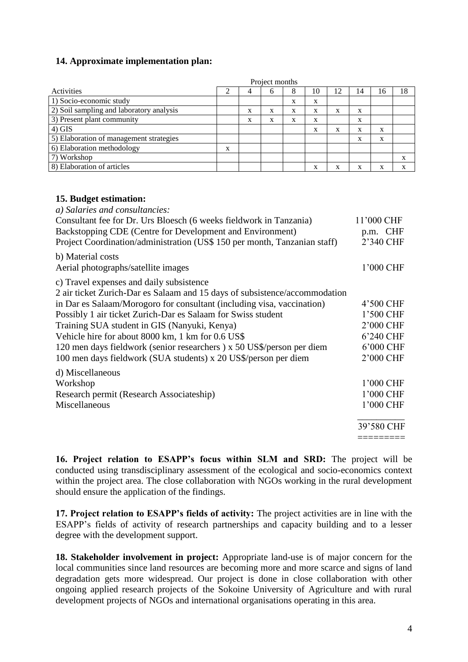# **14. Approximate implementation plan:**

|                                          | Project months |   |   |   |    |   |    |    |    |
|------------------------------------------|----------------|---|---|---|----|---|----|----|----|
| Activities                               |                |   | n | Ō | 10 |   | 14 | 16 | 18 |
| 1) Socio-economic study                  |                |   |   | X | X  |   |    |    |    |
| 2) Soil sampling and laboratory analysis |                | X | X | X | X  | X | X  |    |    |
| 3) Present plant community               |                | X | X | X | X  |   | X  |    |    |
| $4)$ GIS                                 |                |   |   |   | X  | X | X  | X  |    |
| 5) Elaboration of management strategies  |                |   |   |   |    |   | X  | X  |    |
| 6) Elaboration methodology               | X              |   |   |   |    |   |    |    |    |
| 7) Workshop                              |                |   |   |   |    |   |    |    | X  |
| 8) Elaboration of articles               |                |   |   |   | X  | X | л  | X  | X  |

#### **15. Budget estimation:**

| a) Salaries and consultancies:                                             |            |
|----------------------------------------------------------------------------|------------|
| Consultant fee for Dr. Urs Bloesch (6 weeks fieldwork in Tanzania)         | 11'000 CHF |
| Backstopping CDE (Centre for Development and Environment)                  | p.m. CHF   |
| Project Coordination/administration (US\$ 150 per month, Tanzanian staff)  | 2'340 CHF  |
| b) Material costs                                                          |            |
| Aerial photographs/satellite images                                        | 1'000 CHF  |
| c) Travel expenses and daily subsistence                                   |            |
| 2 air ticket Zurich-Dar es Salaam and 15 days of subsistence/accommodation |            |
| in Dar es Salaam/Morogoro for consultant (including visa, vaccination)     | 4'500 CHF  |
| Possibly 1 air ticket Zurich-Dar es Salaam for Swiss student               | 1'500 CHF  |
| Training SUA student in GIS (Nanyuki, Kenya)                               | 2'000 CHF  |
| Vehicle hire for about 8000 km, 1 km for 0.6 US\$                          | 6'240 CHF  |
| 120 men days fieldwork (senior researchers) x 50 US\$/person per diem      | 6'000 CHF  |
| 100 men days fieldwork (SUA students) x 20 US\$/person per diem            | 2'000 CHF  |
| d) Miscellaneous                                                           |            |
| Workshop                                                                   | 1'000 CHF  |
| Research permit (Research Associateship)                                   | 1'000 CHF  |
| Miscellaneous                                                              | 1'000 CHF  |
|                                                                            | 39'580 CHF |
|                                                                            |            |

**16. Project relation to ESAPP's focus within SLM and SRD:** The project will be conducted using transdisciplinary assessment of the ecological and socio-economics context within the project area. The close collaboration with NGOs working in the rural development should ensure the application of the findings.

**17. Project relation to ESAPP's fields of activity:** The project activities are in line with the ESAPP's fields of activity of research partnerships and capacity building and to a lesser degree with the development support.

**18. Stakeholder involvement in project:** Appropriate land-use is of major concern for the local communities since land resources are becoming more and more scarce and signs of land degradation gets more widespread. Our project is done in close collaboration with other ongoing applied research projects of the Sokoine University of Agriculture and with rural development projects of NGOs and international organisations operating in this area.